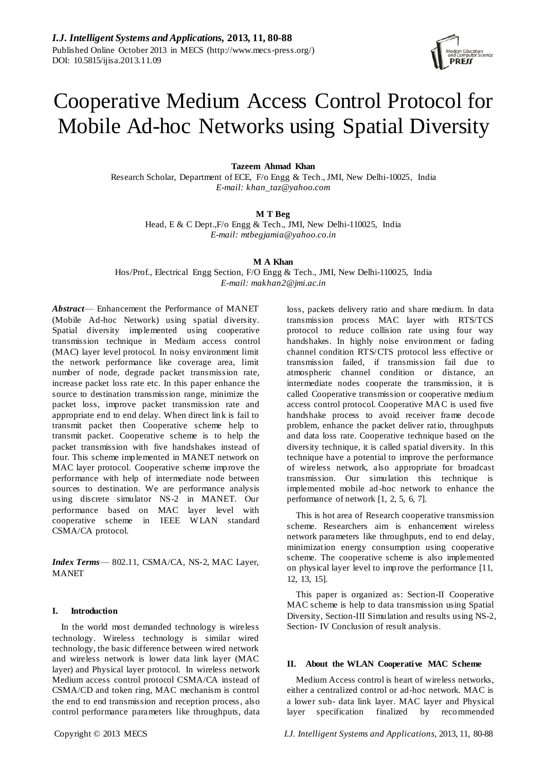

# Cooperative Medium Access Control Protocol for Mobile Ad-hoc Networks using Spatial Diversity

## **Tazeem Ahmad Khan**

Research Scholar, Department of ECE, F/o Engg & Tech., JMI, New Delhi-10025, India *E-mail: khan\_taz@yahoo.com*

## **M T Beg**

Head, E & C Dept.,F/o Engg & Tech., JMI, New Delhi-110025, India *E-mail: mtbegjamia@yahoo.co.in*

**M A Khan**

Hos/Prof., Electrical Engg Section, F/O Engg & Tech., JMI, New Delhi-110025, India *E-mail: makhan2@jmi.ac.in*

*Abstract*— Enhancement the Performance of MANET (Mobile Ad-hoc Network) using spatial diversity. Spatial diversity implemented using cooperative transmission technique in Medium access control (MAC) layer level protocol. In noisy environment limit the network performance like coverage area, limit number of node, degrade packet transmission rate, increase packet loss rate etc. In this paper enhance the source to destination transmission range, minimize the packet loss, improve packet transmission rate and appropriate end to end delay. When direct link is fail to transmit packet then Cooperative scheme help to transmit packet. Cooperative scheme is to help the packet transmission with five handshakes instead of four. This scheme implemented in MANET network on MAC layer protocol. Cooperative scheme improve the performance with help of intermediate node between sources to destination. We are performance analysis using discrete simulator NS-2 in MANET. Our performance based on MAC layer level with cooperative scheme in IEEE W LAN standard CSMA/CA protocol.

*Index Terms*— 802.11, CSMA/CA, NS-2, MAC Layer, MANET

## **I. Introduction**

In the world most demanded technology is wireless technology. Wireless technology is similar wired technology, the basic difference between wired network and wireless network is lower data link layer (MAC layer) and Physical layer protocol. In wireless network Medium access control protocol CSMA/CA instead of CSMA/CD and token ring, MAC mechanism is control the end to end transmission and reception process, also control performance parameters like throughputs, data

loss, packets delivery ratio and share medium. In data transmission process MAC layer with RTS/TCS protocol to reduce collision rate using four way handshakes. In highly noise environment or fading channel condition RTS/CTS protocol less effective or transmission failed, if transmission fail due to atmospheric channel condition or distance, an intermediate nodes cooperate the transmission, it is called Cooperative transmission or cooperative medium access control protocol. Cooperative MAC is used five handshake process to avoid receiver frame decode problem, enhance the packet deliver ratio, throughputs and data loss rate. Cooperative technique based on the diversity technique, it is called spatial diversity. In this technique have a potential to improve the performance of wireless network, also appropriate for broadcast transmission. Our simulation this technique is implemented mobile ad -hoc network to enhance the performance of network [1, 2, 5, 6, 7].

This is hot area of Research cooperative transmission scheme. Researchers aim is enhancement wireless network parameters like throughputs, end to end delay, minimization energy consumption using cooperative scheme. The cooperative scheme is also implemented on physical layer level to improve the performance [11, 12, 13, 15].

This paper is organized as: Section-II Cooperative MAC scheme is help to data transmission using Spatial Diversity, Section-III Simulation and results using NS-2, Section- IV Conclusion of result analysis.

## **II. About the WLAN Cooperative MAC Scheme**

Medium Access control is heart of wireless networks, either a centralized control or ad-hoc network. MAC is a lower sub- data link layer. MAC layer and Physical layer specification finalized by recommended

Copyright © 2013 MECS *I.J. Intelligent Systems and Applications,* 2013, 11, 80-88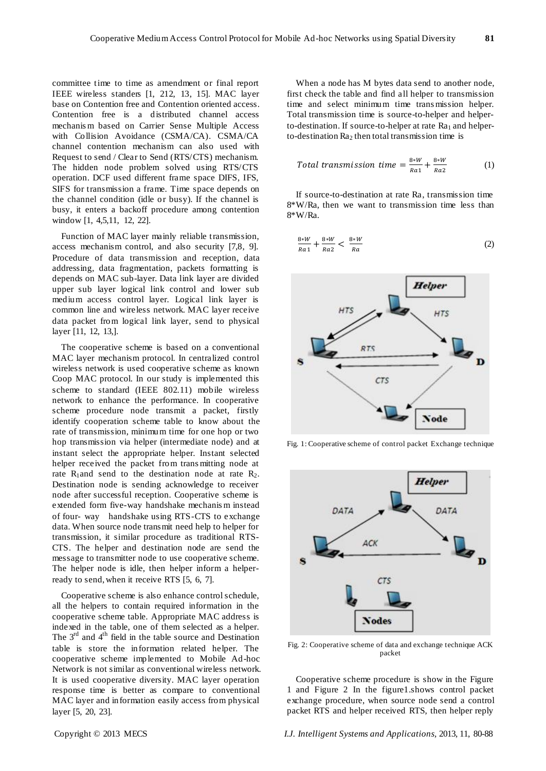committee time to time as amendment or final report IEEE wireless standers [1, 212, 13, 15]. MAC layer base on Contention free and Contention oriented access. Contention free is a distributed channel access mechanis m based on Carrier Sense Multiple Access with Collision Avoidance (CSMA/CA). CSMA/CA channel contention mechanism can also used with Request to send / Clear to Send (RTS/CTS) mechanism. The hidden node problem solved using RTS/CTS operation. DCF used different frame space DIFS, IFS, SIFS for transmission a frame. Time space depends on the channel condition (idle or busy). If the channel is busy, it enters a backoff procedure among contention window [1, 4,5,11, 12, 22].

Function of MAC layer mainly reliable transmission, access mechanism control, and also security [7,8, 9]. Procedure of data transmission and reception, data addressing, data fragmentation, packets formatting is depends on MAC sub-layer. Data link layer are divided upper sub layer logical link control and lower sub medium access control layer. Logical link layer is common line and wireless network. MAC layer receive data packet from logical link layer, send to physical layer [11, 12, 13,].

The cooperative scheme is based on a conventional MAC layer mechanism protocol. In centralized control wireless network is used cooperative scheme as known Coop MAC protocol. In our study is implemented this scheme to standard (IEEE 802.11) mobile wireless network to enhance the performance. In cooperative scheme procedure node transmit a packet, firstly identify cooperation scheme table to know about the rate of transmission, minimum time for one hop or two hop transmission via helper (intermediate node) and at instant select the appropriate helper. Instant selected helper received the packet from trans mitting node at rate  $R_1$ and send to the destination node at rate  $R_2$ . Destination node is sending acknowledge to receiver node after successful reception. Cooperative scheme is extended form five-way handshake mechanis m instead of four- way handshake using RTS-CTS to exchange data. When source node transmit need help to helper for transmission, it similar procedure as traditional RTS-CTS. The helper and destination node are send the message to transmitter node to use cooperative scheme. The helper node is idle, then helper inform a helperready to send, when it receive RTS [5, 6, 7].

Cooperative scheme is also enhance control schedule, all the helpers to contain required information in the cooperative scheme table. Appropriate MAC address is indexed in the table, one of them selected as a helper. The  $3<sup>rd</sup>$  and  $4<sup>th</sup>$  field in the table source and Destination table is store the information related helper. The cooperative scheme implemented to Mobile Ad-hoc Network is not similar as conventional wireless network. It is used cooperative diversity. MAC layer operation response time is better as compare to conventional MAC layer and information easily access from physical layer [5, 20, 23].

When a node has M bytes data send to another node, first check the table and find all helper to transmission time and select minimum time trans mission helper. Total transmission time is source-to-helper and helperto-destination. If source-to-helper at rate  $Ra_1$  and helperto-destination  $Ra<sub>2</sub>$  then total transmission time is

Total transmission time = 
$$
\frac{8*W}{Ra_1} + \frac{8*W}{Ra_2}
$$
 (1)

If source-to-destination at rate Ra, transmission time 8\*W/Ra, then we want to transmission time less than 8\*W/Ra.

$$
\frac{8*W}{Ra1} + \frac{8*W}{Ra2} < \frac{8*W}{Ra} \tag{2}
$$



Fig. 1: Cooperative scheme of control packet Exchange technique



Fig. 2: Cooperative scheme of data and exchange technique ACK packet

Cooperative scheme procedure is show in the Figure 1 and Figure 2 In the figure1.shows control packet exchange procedure, when source node send a control packet RTS and helper received RTS, then helper reply

Copyright © 2013 MECS *I.J. Intelligent Systems and Applications,* 2013, 11, 80-88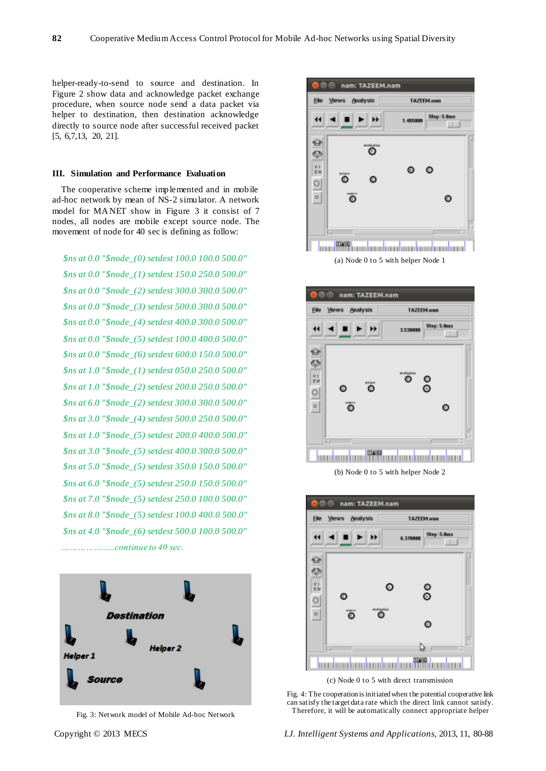helper-ready-to-send to source and destination. In Figure 2 show data and acknowledge packet exchange procedure, when source node send a data packet via helper to destination, then destination acknowledge directly to source node after successful received packet [5, 6,7,13, 20, 21].

#### **III. Simulation and Performance Evaluation**

The cooperative scheme implemented and in mobile ad-hoc network by mean of NS-2 simulator. A network model for MANET show in Figure 3 it consist of 7 nodes, all nodes are mobile except source node. The movement of node for 40 sec is defining as follow:

*\$ns at 0.0 "\$node\_(0) setdest 100.0 100.0 500.0" \$ns at 0.0 "\$node\_(1) setdest 150.0 250.0 500.0" \$ns at 0.0 "\$node\_(2) setdest 300.0 300.0 500.0" \$ns at 0.0 "\$node\_(3) setdest 500.0 300.0 500.0" \$ns at 0.0 "\$node\_(4) setdest 400.0 300.0 500.0" \$ns at 0.0 "\$node\_(5) setdest 100.0 400.0 500.0" \$ns at 0.0 "\$node\_(6) setdest 600.0 150.0 500.0" \$ns at 1.0 "\$node\_(1) setdest 050.0 250.0 500.0" \$ns at 1.0 "\$node\_(2) setdest 200.0 250.0 500.0" \$ns at 6.0 "\$node\_(2) setdest 300.0 300.0 500.0" \$ns at 3.0 "\$node\_(4) setdest 500.0 250.0 500.0" \$ns at 1.0 "\$node\_(5) setdest 200.0 400.0 500.0" \$ns at 3.0 "\$node\_(5) setdest 400.0 300.0 500.0" \$ns at 5.0 "\$node\_(5) setdest 350.0 150.0 500.0" \$ns at 6.0 "\$node\_(5) setdest 250.0 150.0 500.0" \$ns at 7.0 "\$node\_(5) setdest 250.0 100.0 500.0" \$ns at 8.0 "\$node\_(5) setdest 100.0 400.0 500.0" \$ns at 4.0 "\$node\_(6) setdest 500.0 100.0 500.0" ………………..continue to 40 sec.* 



Fig. 3: Network model of Mobile Ad-hoc Network



(a) Node 0 to 5 with helper Node 1



(b) Node 0 to 5 with helper Node 2



Fig. 4: The cooperation is initiated when the potential cooperative link can satisfy the target data rate which the direct link cannot satisfy. Therefore, it will be automatically connect appropriate helper

Copyright © 2013 MECS *I.J. Intelligent Systems and Applications,* 2013, 11, 80-88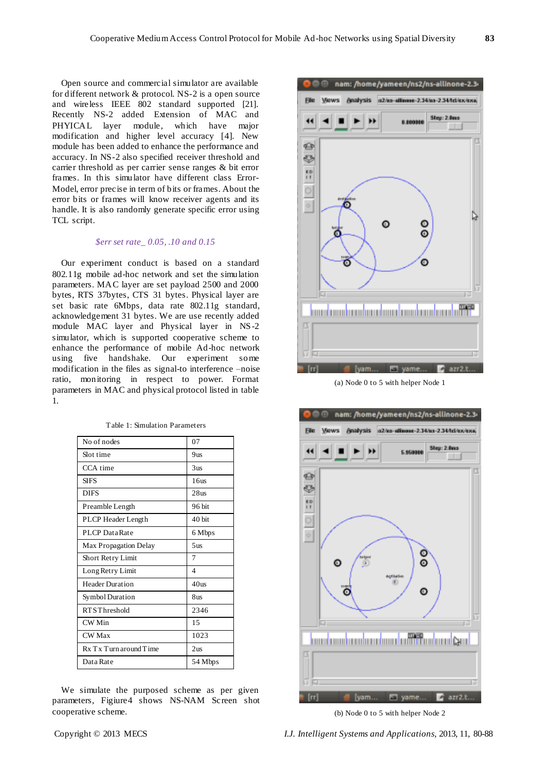Open source and commercial simulator are available for different network & protocol. NS-2 is a open source and wireless IEEE 802 standard supported [21]. Recently NS-2 added Extension of MAC and PHYICAL layer module, which have major modification and higher level accuracy [4]. New module has been added to enhance the performance and accuracy. In NS-2 also specified receiver threshold and carrier threshold as per carrier sense ranges & bit error frames. In this simulator have different class Error-Model, error precise in term of bits or frames. About the error bits or frames will know receiver agents and its handle. It is also randomly generate specific error using TCL script.

## *\$err set rate\_ 0.05, .10 and 0.15*

Our experiment conduct is based on a standard 802.11g mobile ad-hoc network and set the simulation parameters. MAC layer are set payload 2500 and 2000 bytes, RTS 37bytes, CTS 31 bytes. Physical layer are set basic rate 6Mbps, data rate 802.11g standard, acknowledgement 31 bytes. We are use recently added module MAC layer and Physical layer in NS-2 simulator, which is supported cooperative scheme to enhance the performance of mobile Ad-hoc network using five handshake. Our experiment some modification in the files as signal-to interference –noise ratio, monitoring in respect to power. Format parameters in MAC and physical protocol listed in table 1.

| No of nodes                 | 07               |
|-----------------------------|------------------|
| Slot time                   | 9us              |
| CCA time                    | 3 <sub>us</sub>  |
| <b>SIFS</b>                 | 16us             |
| <b>DIFS</b>                 | 28us             |
| Preamble Length             | 96 bit           |
| PLCP Header Length          | $40$ bit         |
| PLCP Data Rate              | 6 Mbps           |
| Max Propagation Delay       | 5 <sub>us</sub>  |
| <b>Short Retry Limit</b>    | 7                |
| Long Retry Limit            | 4                |
| <b>Header Duration</b>      | 40 <sub>us</sub> |
| Symbol Duration             | 8us              |
| <b>RTSThreshold</b>         | 2346             |
| CW Min                      | 15               |
| <b>CW</b> Max               | 1023             |
| $Rx$ T x T urn around T ime | 2 <sub>us</sub>  |
| Data Rate                   | 54 Mbps          |

Table 1: Simulation Parameters

We simulate the purposed scheme as per given parameters, Figiure4 shows NS-NAM Screen shot cooperative scheme.



(a) Node 0 to 5 with helper Node 1



(b) Node 0 to 5 with helper Node 2

Copyright © 2013 MECS *I.J. Intelligent Systems and Applications,* 2013, 11, 80-88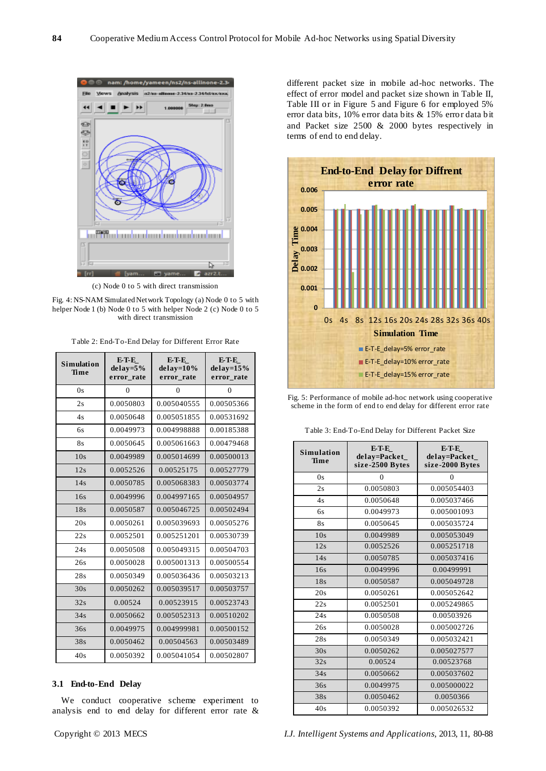

(c) Node 0 to 5 with direct transmission

Fig. 4: NS-NAM Simulated Network Topology (a) Node 0 to 5 with helper Node 1 (b) Node 0 to 5 with helper Node 2 (c) Node 0 to 5 with direct transmission

Table 2: End-To-End Delay for Different Error Rate

| <b>Simulation</b><br>Time | E-T-E<br>$delay = 5%$<br>error rate | E-T-E<br>$delav=10%$<br>error rate | E-T-E<br>$delav=15%$<br>error rate |
|---------------------------|-------------------------------------|------------------------------------|------------------------------------|
| 0s                        | $\Omega$                            | 0                                  | 0                                  |
| 2s                        | 0.0050803                           | 0.005040555                        | 0.00505366                         |
| 4s                        | 0.0050648                           | 0.005051855                        | 0.00531692                         |
| 6s                        | 0.0049973                           | 0.004998888                        | 0.00185388                         |
| 8s                        | 0.0050645                           | 0.005061663                        | 0.00479468                         |
| 10s                       | 0.0049989                           | 0.005014699                        | 0.00500013                         |
| 12s                       | 0.0052526                           | 0.00525175                         | 0.00527779                         |
| 14s                       | 0.0050785                           | 0.005068383                        | 0.00503774                         |
| 16s                       | 0.0049996                           | 0.004997165                        | 0.00504957                         |
| 18s                       | 0.0050587                           | 0.005046725                        | 0.00502494                         |
| 20s                       | 0.0050261                           | 0.005039693                        | 0.00505276                         |
| 22s                       | 0.0052501                           | 0.005251201                        | 0.00530739                         |
| 24s                       | 0.0050508                           | 0.005049315                        | 0.00504703                         |
| 26s                       | 0.0050028                           | 0.005001313                        | 0.00500554                         |
| 28s                       | 0.0050349                           | 0.005036436                        | 0.00503213                         |
| 30s                       | 0.0050262                           | 0.005039517                        | 0.00503757                         |
| 32s                       | 0.00524                             | 0.00523915                         | 0.00523743                         |
| 34s                       | 0.0050662                           | 0.005052313                        | 0.00510202                         |
| 36s                       | 0.0049975                           | 0.004999981                        | 0.00500152                         |
| 38s                       | 0.0050462                           | 0.00504563                         | 0.00503489                         |
| 40s                       | 0.0050392                           | 0.005041054                        | 0.00502807                         |

#### **3.1 End-to-End Delay**

We conduct cooperative scheme experiment to analysis end to end delay for different error rate &

different packet size in mobile ad-hoc networks. The effect of error model and packet size shown in Table II, Table III or in Figure 5 and Figure 6 for employed 5% error data bits, 10% error data bits & 15% error data bit and Packet size 2500 & 2000 bytes respectively in terms of end to end delay.



Fig. 5: Performance of mobile ad-hoc network using cooperative scheme in the form of end to end delay for different error rate

Table 3: End-To-End Delay for Different Packet Size

| <b>Simulation</b><br>Time | E-T-E<br>delay=Packet<br>size-2500 Bytes | E-T-E<br>delay=Packet<br>size-2000 Bytes |
|---------------------------|------------------------------------------|------------------------------------------|
| 0s                        | $\Omega$                                 | $\Omega$                                 |
| 2s                        | 0.0050803                                | 0.005054403                              |
| 4s                        | 0.0050648                                | 0.005037466                              |
| 6s                        | 0.0049973                                | 0.005001093                              |
| 8s                        | 0.0050645                                | 0.005035724                              |
| 10s                       | 0.0049989                                | 0.005053049                              |
| 12s                       | 0.0052526                                | 0.005251718                              |
| 14s                       | 0.0050785                                | 0.005037416                              |
| 16s                       | 0.0049996                                | 0.00499991                               |
| 18s                       | 0.0050587                                | 0.005049728                              |
| 20s                       | 0.0050261                                | 0.005052642                              |
| 22s                       | 0.0052501                                | 0.005249865                              |
| 24s                       | 0.0050508                                | 0.00503926                               |
| 26s                       | 0.0050028                                | 0.005002726                              |
| 28s                       | 0.0050349                                | 0.005032421                              |
| 30s                       | 0.0050262                                | 0.005027577                              |
| 32s                       | 0.00524                                  | 0.00523768                               |
| 34s                       | 0.0050662                                | 0.005037602                              |
| 36s                       | 0.0049975                                | 0.005000022                              |
| 38s                       | 0.0050462                                | 0.0050366                                |
| 40s                       | 0.0050392                                | 0.005026532                              |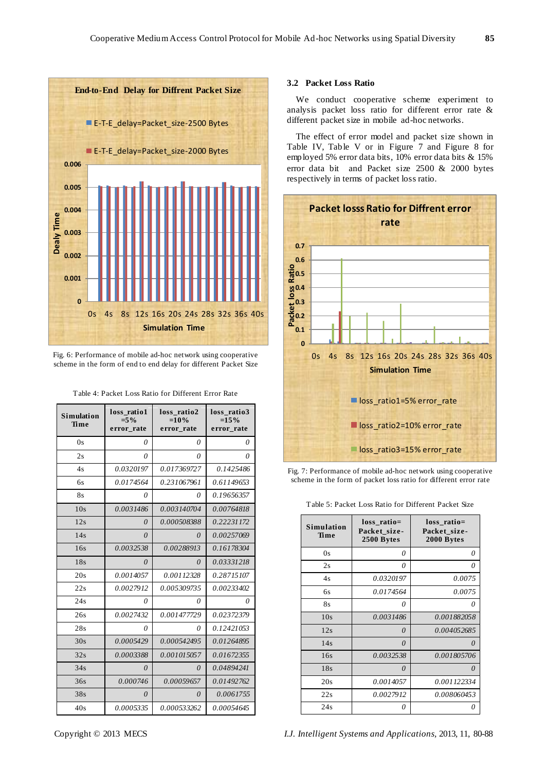

Fig. 6: Performance of mobile ad-hoc network using cooperative scheme in the form of end to end delay for different Packet Size

| Table 4: Packet Loss Ratio for Different Error Rate |  |  |
|-----------------------------------------------------|--|--|
|                                                     |  |  |

| <b>Simulation</b><br>Time | loss_ratio1<br>$=5\%$<br>error rate | loss ratio2<br>$=10%$<br>error rate | loss ratio3<br>$=15%$<br>error rate |
|---------------------------|-------------------------------------|-------------------------------------|-------------------------------------|
| 0s                        | 0                                   | 0                                   | 0                                   |
| 2s                        | 0                                   | 0                                   | 0                                   |
| 4s                        | 0.0320197                           | 0.017369727                         | 0.1425486                           |
| 6s                        | 0.0174564                           | 0.231067961                         | 0.61149653                          |
| 8s                        | 0                                   | 0                                   | 0.19656357                          |
| 10s                       | 0.0031486                           | 0.003140704                         | 0.00764818                          |
| 12s                       | $\theta$                            | 0.000508388                         | 0.22231172                          |
| 14s                       | $\theta$                            | $\Omega$                            | 0.00257069                          |
| 16s                       | 0.0032538                           | 0.00288913                          | 0.16178304                          |
| 18s                       | $\theta$                            | $\theta$                            | 0.03331218                          |
| 20s                       | 0.0014057                           | 0.00112328                          | 0.28715107                          |
| 22s                       | 0.0027912                           | 0.005309735                         | 0.00233402                          |
| 24s                       | 0                                   | 0                                   | 0                                   |
| 26s                       | 0.0027432                           | 0.001477729                         | 0.02372379                          |
| 28s                       | 0                                   | 0                                   | 0.12421053                          |
| 30s                       | 0.0005429                           | 0.000542495                         | 0.01264895                          |
| 32s                       | 0.0003388                           | 0.001015057                         | 0.01672355                          |
| 34s                       | 0                                   | 0                                   | 0.04894241                          |
| 36s                       | 0.000746                            | 0.00059657                          | 0.01492762                          |
| 38s                       | 0                                   | $\theta$                            | 0.0061755                           |
| 40s                       | 0.0005335                           | 0.000533262                         | 0.00054645                          |

## **3.2 Packet Loss Ratio**

We conduct cooperative scheme experiment to analysis packet loss ratio for different error rate & different packet size in mobile ad-hoc networks.

The effect of error model and packet size shown in Table IV, Table V or in Figure 7 and Figure 8 for employed 5% error data bits, 10% error data bits & 15% error data bit and Packet size 2500 & 2000 bytes respectively in terms of packet loss ratio.



Fig. 7: Performance of mobile ad-hoc network using cooperative scheme in the form of packet loss ratio for different error rate

| Table 5: Packet Loss Ratio for Different Packet Size |  |  |  |
|------------------------------------------------------|--|--|--|
|------------------------------------------------------|--|--|--|

| <b>Simulation</b><br>Time | loss ratio=<br>Packet size-<br>2500 Bytes | loss ratio=<br>Packet size-<br>2000 Bytes |
|---------------------------|-------------------------------------------|-------------------------------------------|
| 0s                        | 0                                         | 0                                         |
| 2s                        | 0                                         | 0                                         |
| 4s                        | 0.0320197                                 | 0.0075                                    |
| 6s                        | 0.0174564                                 | 0.0075                                    |
| 8s                        | 0                                         | 0                                         |
| 10s                       | 0.0031486                                 | 0.001882058                               |
| 12s                       | $\Omega$                                  | 0.004052685                               |
| 14s                       | $\Omega$                                  | $\theta$                                  |
| 16s                       | 0.0032538                                 | 0.001805706                               |
| 18s                       | $\theta$                                  | $\theta$                                  |
| 20s                       | 0.0014057                                 | 0.001122334                               |
| 22s                       | 0.0027912                                 | 0.008060453                               |
| 24s                       | 0                                         | N                                         |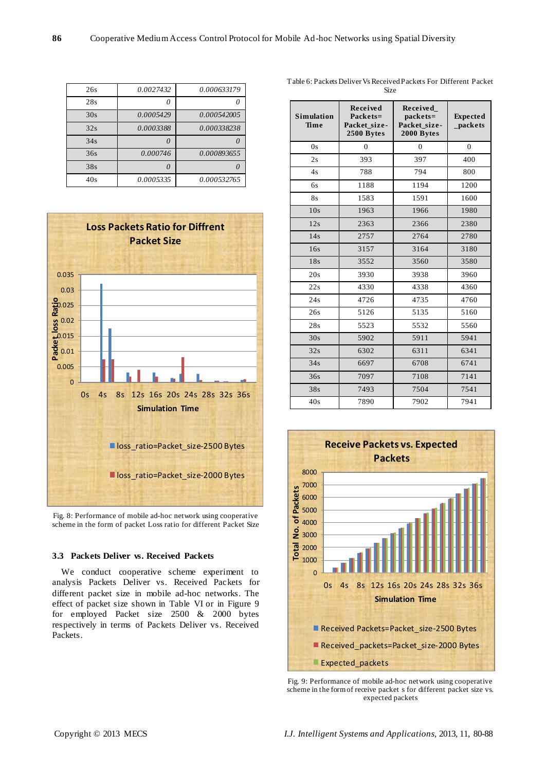| 0.000633179 | 0.0027432 | 26s |
|-------------|-----------|-----|
|             |           | 28s |
| 0.000542005 | 0.0005429 | 30s |
| 0.000338238 | 0.0003388 | 32s |
|             |           | 34s |
| 0.000893655 | 0.000746  | 36s |
|             |           | 38s |
| 0.000532765 | 0.0005335 | 40s |



Fig. 8: Performance of mobile ad-hoc network using cooperative scheme in the form of packet Loss ratio for different Packet Size

#### **3.3 Packets Deliver vs. Received Packets**

We conduct cooperative scheme experiment to analysis Packets Deliver vs. Received Packets for different packet size in mobile ad-hoc networks. The effect of packet size shown in Table VI or in Figure 9 for employed Packet size 2500 & 2000 bytes respectively in terms of Packets Deliver vs. Received Packets.

| <b>Simulation</b><br>Time | Received<br>Packets=<br>Packet size-<br>2500 Bytes | Received<br>packets=<br>Packet size-<br>2000 Bytes | <b>Expected</b><br>_packets |
|---------------------------|----------------------------------------------------|----------------------------------------------------|-----------------------------|
| 0s                        | $\overline{0}$                                     | $\overline{0}$                                     | $\theta$                    |
| 2s                        | 393                                                | 397                                                | 400                         |
| 4s                        | 788                                                | 794                                                | 800                         |
| 6s                        | 1188                                               | 1194                                               | 1200                        |
| <b>8s</b>                 | 1583                                               | 1591                                               | 1600                        |
| 10s                       | 1963                                               | 1966                                               | 1980                        |
| 12s                       | 2363                                               | 2366                                               | 2380                        |
| 14s                       | 2757                                               | 2764                                               | 2780                        |
| 16s                       | 3157                                               | 3164                                               | 3180                        |
| 18s                       | 3552                                               | 3560                                               | 3580                        |
| 20s                       | 3930                                               | 3938                                               | 3960                        |
| 22s                       | 4330                                               | 4338                                               | 4360                        |
| 24s                       | 4726                                               | 4735                                               | 4760                        |
| 26s                       | 5126                                               | 5135                                               | 5160                        |
| 28s                       | 5523                                               | 5532                                               | 5560                        |
| 30s                       | 5902                                               | 5911                                               | 5941                        |
| 32s                       | 6302                                               | 6311                                               | 6341                        |
| 34s                       | 6697                                               | 6708                                               | 6741                        |
| 36s                       | 7097                                               | 7108                                               | 7141                        |
| 38s                       | 7493                                               | 7504                                               | 7541                        |
| 40s                       | 7890                                               | 7902                                               | 7941                        |



Fig. 9: Performance of mobile ad-hoc network using cooperative scheme in the form of receive packet s for different packet size vs. expected packets

Table 6: Packets Deliver Vs Received Packets For Different Packet Size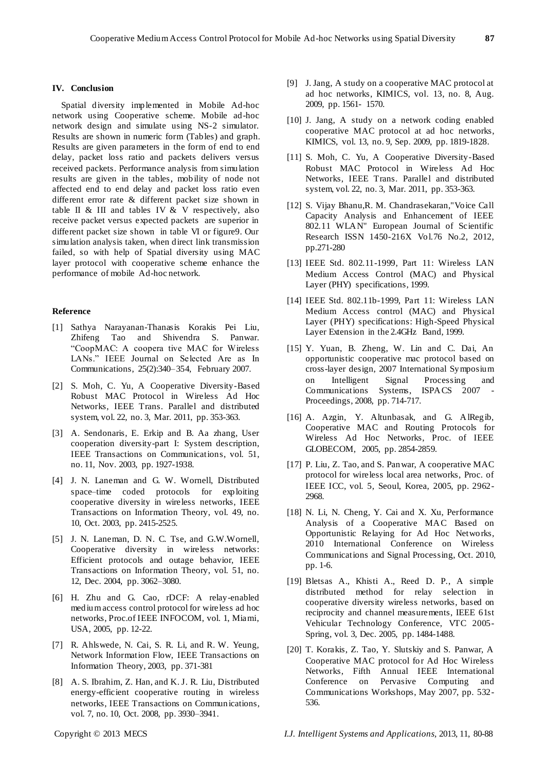#### **IV. Conclusion**

Spatial diversity implemented in Mobile Ad-hoc network using Cooperative scheme. Mobile ad-hoc network design and simulate using NS-2 simulator. Results are shown in numeric form (Tables) and graph. Results are given parameters in the form of end to end delay, packet loss ratio and packets delivers versus received packets. Performance analysis from simulation results are given in the tables, mobility of node not affected end to end delay and packet loss ratio even different error rate & different packet size shown in table II  $&$  III and tables IV  $&$  V respectively, also receive packet versus expected packets are superior in different packet size shown in table VI or figure9. Our simulation analysis taken, when direct link transmission failed, so with help of Spatial diversity using MAC layer protocol with cooperative scheme enhance the performance of mobile Ad-hoc network.

## **Reference**

- [1] Sathya Narayanan-Thanasis Korakis Pei Liu, Zhifeng Tao and Shivendra S. Panwar. ―CoopMAC: A coopera tive MAC for Wireless LANs." IEEE Journal on Selected Are as In Communications, 25(2):340–354, February 2007.
- [2] S. Moh, C. Yu, A Cooperative Diversity-Based Robust MAC Protocol in Wireless Ad Hoc Networks, IEEE Trans. Parallel and distributed system, vol. 22, no. 3, Mar. 2011, pp. 353-363.
- [3] A. Sendonaris, E. Erkip and B. Aa zhang, User cooperation diversity-part I: System description, IEEE Transactions on Communications, vol. 51, no. 11, Nov. 2003, pp. 1927-1938.
- [4] J. N. Laneman and G. W. Wornell, Distributed space–time coded protocols for exploiting cooperative diversity in wireless networks, IEEE Transactions on Information Theory, vol. 49, no. 10, Oct. 2003, pp. 2415-2525.
- [5] J. N. Laneman, D. N. C. Tse, and G.W.Wornell, Cooperative diversity in wireless networks: Efficient protocols and outage behavior, IEEE Transactions on Information Theory, vol. 51, no. 12, Dec. 2004, pp. 3062–3080.
- [6] H. Zhu and G. Cao, rDCF: A relay-enabled medium access control protocol for wireless ad hoc networks, Proc.of IEEE INFOCOM, vol. 1, Miami, USA, 2005, pp. 12-22.
- [7] R. Ahlswede, N. Cai, S. R. Li, and R. W. Yeung, Network Information Flow, IEEE Transactions on Information Theory, 2003, pp. 371-381
- [8] A. S. Ibrahim, Z. Han, and K. J. R. Liu, Distributed energy-efficient cooperative routing in wireless networks, IEEE Transactions on Communications, vol. 7, no. 10, Oct. 2008, pp. 3930–3941.
- [9] J. Jang, A study on a cooperative MAC protocol at ad hoc networks, KIMICS, vol. 13, no. 8, Aug. 2009, pp. 1561- 1570.
- [10] J. Jang, A study on a network coding enabled cooperative MAC protocol at ad hoc networks, KIMICS, vol. 13, no. 9, Sep. 2009, pp. 1819-1828.
- [11] S. Moh, C. Yu, A Cooperative Diversity-Based Robust MAC Protocol in Wireless Ad Hoc Networks, IEEE Trans. Parallel and distributed system, vol. 22, no. 3, Mar. 2011, pp. 353-363.
- [12] S. Vijay Bhanu,R. M. Chandrasekaran,"Voice Call Capacity Analysis and Enhancement of IEEE 802.11 WLAN" European Journal of Scientific Research ISSN 1450-216X Vol.76 No.2, 2012, pp.271-280
- [13] IEEE Std. 802.11-1999, Part 11: Wireless LAN Medium Access Control (MAC) and Physical Layer (PHY) specifications, 1999.
- [14] IEEE Std. 802.11b-1999, Part 11: Wireless LAN Medium Access control (MAC) and Physical Layer (PHY) specifications: High-Speed Physical Layer Extension in the 2.4GHz Band, 1999.
- [15] Y. Yuan, B. Zheng, W. Lin and C. Dai, An opportunistic cooperative mac protocol based on cross-layer design, 2007 International Symposium on Intelligent Signal Processing and Communications Systems, ISPACS 2007 Proceedings, 2008, pp. 714-717.
- [16] A. Azgin, Y. Altunbasak, and G. AlRegib, Cooperative MAC and Routing Protocols for Wireless Ad Hoc Networks, Proc. of IEEE GLOBECOM, 2005, pp. 2854-2859.
- [17] P. Liu, Z. Tao, and S. Panwar, A cooperative MAC protocol for wireless local area networks, Proc. of IEEE ICC, vol. 5, Seoul, Korea, 2005, pp. 2962- 2968.
- [18] N. Li, N. Cheng, Y. Cai and X. Xu, Performance Analysis of a Cooperative MAC Based on Opportunistic Relaying for Ad Hoc Networks, 2010 International Conference on Wireless Communications and Signal Processing, Oct. 2010, pp. 1-6.
- [19] Bletsas A., Khisti A., Reed D. P., A simple distributed method for relay selection in cooperative diversity wireless networks, based on reciprocity and channel measurements, IEEE 61st Vehicular Technology Conference, VTC 2005- Spring, vol. 3, Dec. 2005, pp. 1484-1488.
- [20] T. Korakis, Z. Tao, Y. Slutskiy and S. Panwar, A Cooperative MAC protocol for Ad Hoc Wireless Networks, Fifth Annual IEEE International Conference on Pervasive Computing and Communications Workshops, May 2007, pp. 532- 536.